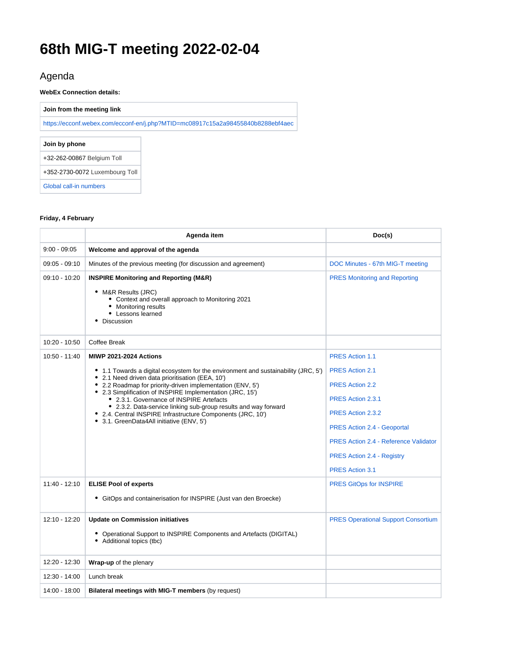# **68th MIG-T meeting 2022-02-04**

# Agenda

**WebEx Connection details:**

**Join from the meeting link**

<https://ecconf.webex.com/ecconf-en/j.php?MTID=mc08917c15a2a98455840b8288ebf4aec>

**Join by phone**

+32-262-00867 Belgium Toll

+352-2730-0072 Luxembourg Toll

[Global call-in numbers](https://priv-bx-myremote.tech.ec.europa.eu/v3/__https://ecconf.webex.com/ecconf/,DanaInfo=.ausngikku0nJn0z,SSL+globalcallin.php?MTID=m7a6c1bfaaf65d26f4854d7eb1608f18b__;!!DOxrgLBm!Qszso5H0kvxKoLKKXmR98OtQSU76o2N2JRtRuBFsg9NQGmwCRxdOR0yoM5sSJ3wffTSi$)

#### **Friday, 4 February**

|                | Agenda item                                                                                                                                                                                                                                                                                                                                                                                                                                                                                                                 | Doc(s)                                                                                                                                                                                                                                                                    |
|----------------|-----------------------------------------------------------------------------------------------------------------------------------------------------------------------------------------------------------------------------------------------------------------------------------------------------------------------------------------------------------------------------------------------------------------------------------------------------------------------------------------------------------------------------|---------------------------------------------------------------------------------------------------------------------------------------------------------------------------------------------------------------------------------------------------------------------------|
| $9:00 - 09:05$ | Welcome and approval of the agenda                                                                                                                                                                                                                                                                                                                                                                                                                                                                                          |                                                                                                                                                                                                                                                                           |
| 09:05 - 09:10  | Minutes of the previous meeting (for discussion and agreement)                                                                                                                                                                                                                                                                                                                                                                                                                                                              | DOC Minutes - 67th MIG-T meeting                                                                                                                                                                                                                                          |
| 09:10 - 10:20  | <b>INSPIRE Monitoring and Reporting (M&amp;R)</b><br>• M&R Results (JRC)<br>• Context and overall approach to Monitoring 2021<br>• Monitoring results<br>• Lessons learned<br>Discussion                                                                                                                                                                                                                                                                                                                                    | <b>PRES Monitoring and Reporting</b>                                                                                                                                                                                                                                      |
| 10:20 - 10:50  | <b>Coffee Break</b>                                                                                                                                                                                                                                                                                                                                                                                                                                                                                                         |                                                                                                                                                                                                                                                                           |
| 10:50 - 11:40  | <b>MIWP 2021-2024 Actions</b><br>• 1.1 Towards a digital ecosystem for the environment and sustainability (JRC, 5')<br>2.1 Need driven data prioritisation (EEA, 10')<br>• 2.2 Roadmap for priority-driven implementation (ENV, 5')<br>• 2.3 Simplification of INSPIRE Implementation (JRC, 15')<br>• 2.3.1. Governance of INSPIRE Artefacts<br>• 2.3.2. Data-service linking sub-group results and way forward<br>• 2.4. Central INSPIRE Infrastructure Components (JRC, 10')<br>• 3.1. GreenData4All initiative (ENV, 5') | <b>PRES Action 1.1</b><br><b>PRES Action 2.1</b><br><b>PRES Action 2.2</b><br>PRES Action 2.3.1<br>PRES Action 2.3.2<br><b>PRES Action 2.4 - Geoportal</b><br><b>PRES Action 2.4 - Reference Validator</b><br><b>PRES Action 2.4 - Registry</b><br><b>PRES Action 3.1</b> |
| 11:40 - 12:10  | <b>ELISE Pool of experts</b><br>• GitOps and containerisation for INSPIRE (Just van den Broecke)                                                                                                                                                                                                                                                                                                                                                                                                                            | <b>PRES GitOps for INSPIRE</b>                                                                                                                                                                                                                                            |
| 12:10 - 12:20  | <b>Update on Commission initiatives</b><br>• Operational Support to INSPIRE Components and Artefacts (DIGITAL)<br>• Additional topics (tbc)                                                                                                                                                                                                                                                                                                                                                                                 | <b>PRES Operational Support Consortium</b>                                                                                                                                                                                                                                |
| 12:20 - 12:30  | Wrap-up of the plenary                                                                                                                                                                                                                                                                                                                                                                                                                                                                                                      |                                                                                                                                                                                                                                                                           |
| 12:30 - 14:00  | Lunch break                                                                                                                                                                                                                                                                                                                                                                                                                                                                                                                 |                                                                                                                                                                                                                                                                           |
| 14:00 - 18:00  | Bilateral meetings with MIG-T members (by request)                                                                                                                                                                                                                                                                                                                                                                                                                                                                          |                                                                                                                                                                                                                                                                           |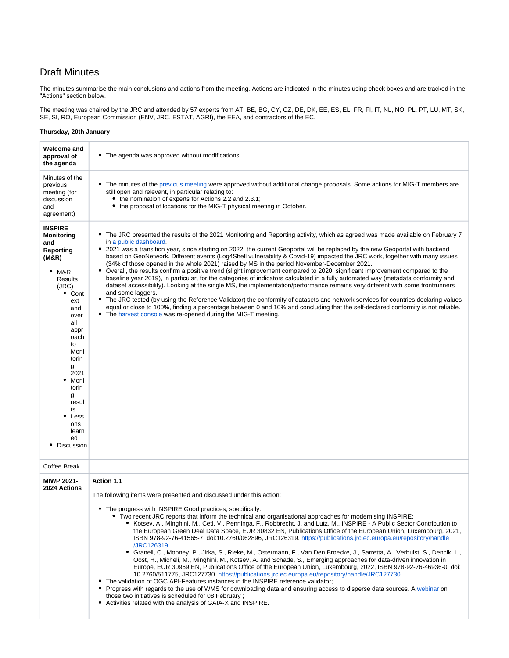### Draft Minutes

The minutes summarise the main conclusions and actions from the meeting. Actions are indicated in the minutes using check boxes and are tracked in the "Actions" section below.

The meeting was chaired by the JRC and attended by 57 experts from AT, BE, BG, CY, CZ, DE, DK, EE, ES, EL, FR, FI, IT, NL, NO, PL, PT, LU, MT, SK, SE, SI, RO, European Commission (ENV, JRC, ESTAT, AGRI), the EEA, and contractors of the EC.

#### **Thursday, 20th January**

| Welcome and<br>approval of<br>the agenda                                                                                                                                                                                                                                              | • The agenda was approved without modifications.                                                                                                                                                                                                                                                                                                                                                                                                                                                                                                                                                                                                                                                                                                                                                                                                                                                                                                                                                                                                                                                                                                                                                                                                                                                                                                                                                                                                            |  |
|---------------------------------------------------------------------------------------------------------------------------------------------------------------------------------------------------------------------------------------------------------------------------------------|-------------------------------------------------------------------------------------------------------------------------------------------------------------------------------------------------------------------------------------------------------------------------------------------------------------------------------------------------------------------------------------------------------------------------------------------------------------------------------------------------------------------------------------------------------------------------------------------------------------------------------------------------------------------------------------------------------------------------------------------------------------------------------------------------------------------------------------------------------------------------------------------------------------------------------------------------------------------------------------------------------------------------------------------------------------------------------------------------------------------------------------------------------------------------------------------------------------------------------------------------------------------------------------------------------------------------------------------------------------------------------------------------------------------------------------------------------------|--|
| Minutes of the<br>previous<br>meeting (for<br>discussion<br>and<br>agreement)                                                                                                                                                                                                         | • The minutes of the previous meeting were approved without additional change proposals. Some actions for MIG-T members are<br>still open and relevant, in particular relating to:<br>the nomination of experts for Actions 2.2 and 2.3.1;<br>• the proposal of locations for the MIG-T physical meeting in October.                                                                                                                                                                                                                                                                                                                                                                                                                                                                                                                                                                                                                                                                                                                                                                                                                                                                                                                                                                                                                                                                                                                                        |  |
| <b>INSPIRE</b><br><b>Monitoring</b><br>and<br>Reporting<br>(M&R)<br>$•$ M&R<br>Results<br>(JRC)<br>• Cont<br>ext<br>and<br>over<br>all<br>appr<br>oach<br>to<br>Moni<br>torin<br>g<br>2021<br>Moni<br>٠<br>torin<br>g<br>resul<br>ts<br>٠<br>Less<br>ons<br>learn<br>ed<br>Discussion | The JRC presented the results of the 2021 Monitoring and Reporting activity, which as agreed was made available on February 7<br>in a public dashboard.<br>• 2021 was a transition year, since starting on 2022, the current Geoportal will be replaced by the new Geoportal with backend<br>based on GeoNetwork. Different events (Log4Shell vulnerability & Covid-19) impacted the JRC work, together with many issues<br>(34% of those opened in the whole 2021) raised by MS in the period November-December 2021.<br>• Overall, the results confirm a positive trend (slight improvement compared to 2020, significant improvement compared to the<br>baseline year 2019), in particular, for the categories of indicators calculated in a fully automated way (metadata conformity and<br>dataset accessibility). Looking at the single MS, the implementation/performance remains very different with some frontrunners<br>and some laggers.<br>• The JRC tested (by using the Reference Validator) the conformity of datasets and network services for countries declaring values<br>equal or close to 100%, finding a percentage between 0 and 10% and concluding that the self-declared conformity is not reliable.<br>• The harvest console was re-opened during the MIG-T meeting.                                                                                                                                                              |  |
| Coffee Break                                                                                                                                                                                                                                                                          |                                                                                                                                                                                                                                                                                                                                                                                                                                                                                                                                                                                                                                                                                                                                                                                                                                                                                                                                                                                                                                                                                                                                                                                                                                                                                                                                                                                                                                                             |  |
| <b>MIWP 2021-</b><br>2024 Actions                                                                                                                                                                                                                                                     | Action 1.1<br>The following items were presented and discussed under this action:<br>• The progress with INSPIRE Good practices, specifically:<br>Two recent JRC reports that inform the technical and organisational approaches for modernising INSPIRE:<br>• Kotsev, A., Minghini, M., Cetl, V., Penninga, F., Robbrecht, J. and Lutz, M., INSPIRE - A Public Sector Contribution to<br>the European Green Deal Data Space, EUR 30832 EN, Publications Office of the European Union, Luxembourg, 2021,<br>ISBN 978-92-76-41565-7, doi:10.2760/062896, JRC126319. https://publications.jrc.ec.europa.eu/repository/handle<br>/JRC126319<br>· Granell, C., Mooney, P., Jirka, S., Rieke, M., Ostermann, F., Van Den Broecke, J., Sarretta, A., Verhulst, S., Dencik, L.,<br>Oost, H., Micheli, M., Minghini, M., Kotsev, A. and Schade, S., Emerging approaches for data-driven innovation in<br>Europe, EUR 30969 EN, Publications Office of the European Union, Luxembourg, 2022, ISBN 978-92-76-46936-0, doi:<br>10.2760/511775, JRC127730. https://publications.jrc.ec.europa.eu/repository/handle/JRC127730<br>• The validation of OGC API-Features instances in the INSPIRE reference validator;<br>• Progress with regards to the use of WMS for downloading data and ensuring access to disperse data sources. A webinar on<br>those two initiatives is scheduled for 08 February;<br>• Activities related with the analysis of GAIA-X and INSPIRE. |  |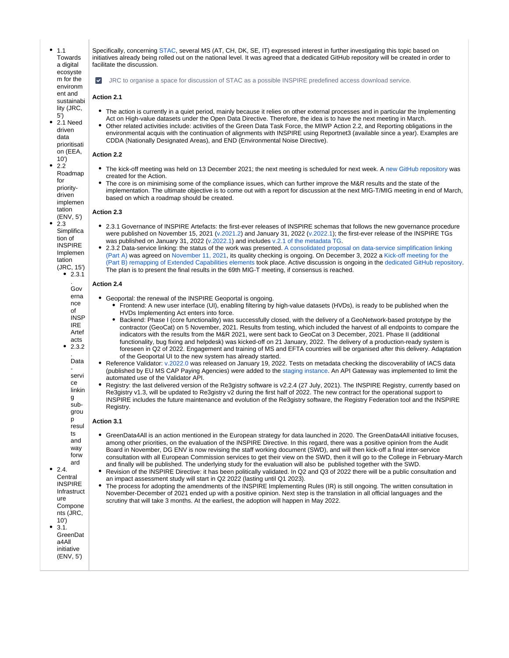$• 1.1$ Towards a digital ecosyste m for the environm ent and sustainabi lity (JRC, 5') 2.1 Need

driven data prioritisati on (EEA,  $10'$ 

2.2 Roadmap for prioritydriven implemen tation

(ENV, 5') 2.3 Simplifica

.

 $9.24$ 

ure

10') 3.1.

INSPIRE Implemen tation (JRC, 15')

### **Action 2.4**

Gov erna nce of INSP IRE Artef acts 2.3.2 . Data servi ce linkin g subgrou p resul ts and way forw ard Central INSPIRE **Infrastruct** Compone nts (JRC, GreenDat a4All initiative (ENV, 5') Geoportal: the renewal of the INSPIRE Geoportal is ongoing. Frontend: A new user interface (UI), enabling filtering by high-value datasets (HVDs), is ready to be published when the HVDs Implementing Act enters into force. Backend: Phase I (core functionality) was successfully closed, with the delivery of a GeoNetwork-based prototype by the contractor (GeoCat) on 5 November, 2021. Results from testing, which included the harvest of all endpoints to compare the indicators with the results from the M&R 2021, were sent back to GeoCat on 3 December, 2021. Phase II (additional functionality, bug fixing and helpdesk) was kicked-off on 21 January, 2022. The delivery of a production-ready system is foreseen in Q2 of 2022. Engagement and training of MS and EFTA countries will be organised after this delivery. Adaptation of the Geoportal UI to the new system has already started. Reference Validator: [v.2022.0](https://github.com/INSPIRE-MIF/helpdesk-validator/releases/) was released on January 19, 2022. Tests on metadata checking the discoverability of IACS data (published by EU MS CAP Paying Agencies) were added to the [staging instance](http://staging-inspire-validator.eu-west-1.elasticbeanstalk.com/etf-webapp/home/index.html). An API Gateway was implemented to limit the automated use of the Validator API. Registry: the last delivered version of the Re3gistry software is v2.2.4 (27 July, 2021). The INSPIRE Registry, currently based on Re3gistry v1.3, will be updated to Re3gistry v2 during the first half of 2022. The new contract for the operational support to INSPIRE includes the future maintenance and evolution of the Re3gistry software, the Registry Federation tool and the INSPIRE Registry. **Action 3.1** GreenData4All is an action mentioned in the European strategy for data launched in 2020. The GreenData4All initiative focuses, among other priorities, on the evaluation of the INSPIRE Directive. In this regard, there was a positive opinion from the Audit Board in November, DG ENV is now revising the staff working document (SWD), and will then kick-off a final inter-service consultation with all European Commission services to get their view on the SWD, then it will go to the College in February-March and finally will be published. The underlying study for the evaluation will also be published together with the SWD. Revision of the INSPIRE Directive: it has been politically validated. In Q2 and Q3 of 2022 there will be a public consultation and an impact assessment study will start in Q2 2022 (lasting until Q1 2023). The process for adopting the amendments of the INSPIRE Implementing Rules (IR) is still ongoing. The written consultation in November-December of 2021 ended up with a positive opinion. Next step is the translation in all official languages and the scrutiny that will take 3 months. At the earliest, the adoption will happen in May 2022.

Specifically, concerning [STAC,](https://stacspec.org/) several MS (AT, CH, DK, SE, IT) expressed interest in further investigating this topic based on initiatives already being rolled out on the national level. It was agreed that a dedicated GitHub repository will be created in order to facilitate the discussion.

JRC to organise a space for discussion of STAC as a possible INSPIRE predefined access download service.

**Action 2.1**

- The action is currently in a quiet period, mainly because it relies on other external processes and in particular the Implementing Act on High-value datasets under the Open Data Directive. Therefore, the idea is to have the next meeting in March.
- Other related activities include: activities of the Green Data Task Force, the MIWP Action 2.2, and Reporting obligations in the environmental acquis with the continuation of alignments with INSPIRE using Reportnet3 (available since a year). Examples are CDDA (Nationally Designated Areas), and END (Environmental Noise Directive).

### **Action 2.2**

- The kick-off meeting was held on 13 December 2021; the next meeting is scheduled for next week. [A new GitHub repository](https://github.com/INSPIRE-MIF/priority-driven-implementation) was created for the Action.
- The core is on minimising some of the compliance issues, which can further improve the M&R results and the state of the implementation. The ultimate objective is to come out with a report for discussion at the next MIG-T/MIG meeting in end of March, based on which a roadmap should be created.

2.3.1 Governance of INSPIRE Artefacts: the first-ever releases of INSPIRE schemas that follows the new governance procedure were published on November 15, 2021 ([v.2021.2\)](https://github.com/INSPIRE-MIF/application-schemas/releases/tag/2021.2) and January 31, 2022 ([v.2022.1](https://github.com/INSPIRE-MIF/application-schemas/releases/tag/2022.1)); the first-ever release of the INSPIRE TGs

2.3.2 Data-service linking: the status of the work was presented. [A consolidated proposal on data-service simplification linking](https://github.com/INSPIRE-MIF/gp-data-service-linking-simplification/blob/main/proposals/JRC/ds-linking-simplification-good-practice.md)  [\(Part A\)](https://github.com/INSPIRE-MIF/gp-data-service-linking-simplification/blob/main/proposals/JRC/ds-linking-simplification-good-practice.md) was agreed on [November 11, 2021,](https://github.com/INSPIRE-MIF/gp-data-service-linking-simplification/blob/main/meetings/2021-11-11/MIWP%20Sub-group%202.3.2%20Simplification%202021-11-11%20summary.md) its quality checking is ongoing. On December 3, 2022 a [Kick-off meeting for the](https://github.com/INSPIRE-MIF/gp-data-service-linking-simplification/blob/main/meetings/2021-12-03/MIWP%20Sub-group%202.3.2%20Simplification%20Part%20B%202021-12-13%20summary.md)  [\(Part B\) remapping of Extended Capabilities elements](https://github.com/INSPIRE-MIF/gp-data-service-linking-simplification/blob/main/meetings/2021-12-03/MIWP%20Sub-group%202.3.2%20Simplification%20Part%20B%202021-12-13%20summary.md) took place. Active discussion is ongoing in the [dedicated GitHub repository](https://github.com/INSPIRE-MIF/gp-data-service-linking-simplification/issues).

was published on January 31, 2022 [\(v.2022.1\)](https://github.com/INSPIRE-MIF/technical-guidelines/releases/tag/2022.1) and includes [v.2.1 of the metadata TG.](https://inspire.ec.europa.eu/id/document/tg/metadata-iso19139)

The plan is to present the final results in the 69th MIG-T meeting, if consensus is reached.

**Action 2.3**

tion of

 $• 2.3.1$